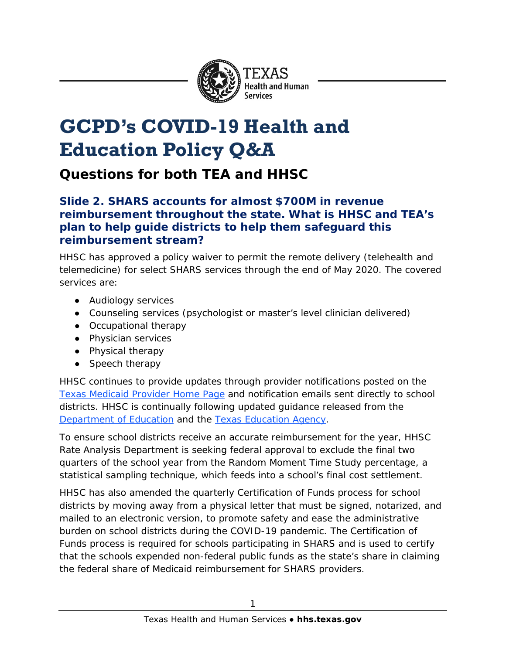

# **GCPD's COVID-19 Health and Education Policy Q&A**

**Questions for both TEA and HHSC**

#### **Slide 2. SHARS accounts for almost \$700M in revenue reimbursement throughout the state. What is HHSC and TEA's plan to help guide districts to help them safeguard this reimbursement stream?**

HHSC has approved a policy waiver to permit the remote delivery (telehealth and telemedicine) for select SHARS services through the end of May 2020. The covered services are:

- Audiology services
- Counseling services (psychologist or master's level clinician delivered)
- Occupational therapy
- Physician services
- Physical therapy
- Speech therapy

HHSC continues to provide updates through provider notifications posted on the [Texas Medicaid Provider Home Page](http://www.tmhp.com/Pages/Medicaid/Medicaid_home.aspx) and notification emails sent directly to school districts. HHSC is continually following updated guidance released from the [Department of Education](https://www.ed.gov/) and the [Texas Education Agency.](https://tea.texas.gov/)

To ensure school districts receive an accurate reimbursement for the year, HHSC Rate Analysis Department is seeking federal approval to exclude the final two quarters of the school year from the Random Moment Time Study percentage, a statistical sampling technique, which feeds into a school's final cost settlement.

HHSC has also amended the quarterly Certification of Funds process for school districts by moving away from a physical letter that must be signed, notarized, and mailed to an electronic version, to promote safety and ease the administrative burden on school districts during the COVID-19 pandemic. The Certification of Funds process is required for schools participating in SHARS and is used to certify that the schools expended non-federal public funds as the state's share in claiming the federal share of Medicaid reimbursement for SHARS providers.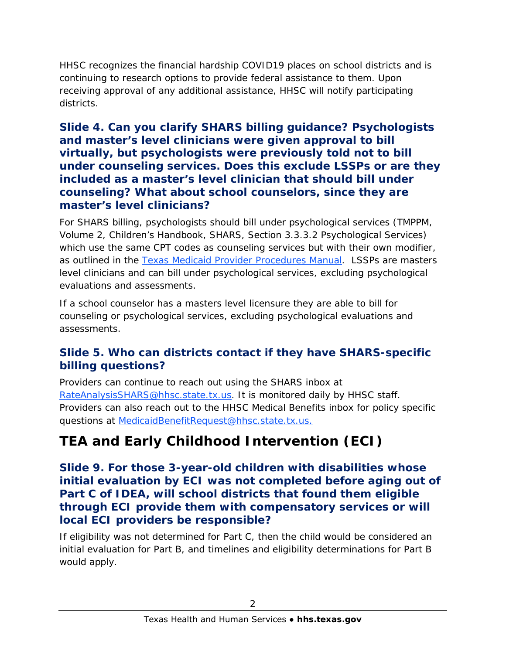HHSC recognizes the financial hardship COVID19 places on school districts and is continuing to research options to provide federal assistance to them. Upon receiving approval of any additional assistance, HHSC will notify participating districts.

#### **Slide 4. Can you clarify SHARS billing guidance? Psychologists and master's level clinicians were given approval to bill virtually, but psychologists were previously told not to bill under counseling services. Does this exclude LSSPs or are they included as a master's level clinician that should bill under counseling? What about school counselors, since they are master's level clinicians?**

For SHARS billing, psychologists should bill under psychological services (TMPPM, Volume 2, Children's Handbook, SHARS, Section 3.3.3.2 Psychological Services) which use the same CPT codes as counseling services but with their own modifier, as outlined in the [Texas Medicaid Provider Procedures Manual.](http://www.tmhp.com/Manuals_PDF/TMPPM/TMPPM_Living_Manual_Current/2_Childrens_Services.pdf) LSSPs are masters level clinicians and can bill under psychological services, excluding psychological evaluations and assessments.

If a school counselor has a masters level licensure they are able to bill for counseling or psychological services, excluding psychological evaluations and assessments.

#### **Slide 5. Who can districts contact if they have SHARS-specific billing questions?**

Providers can continue to reach out using the SHARS inbox at [RateAnalysisSHARS@hhsc.state.tx.us.](mailto:RateAnalysisSHARS@hhsc.state.tx.us) It is monitored daily by HHSC staff. Providers can also reach out to the HHSC Medical Benefits inbox for policy specific questions at [MedicaidBenefitRequest@hhsc.state.tx.us.](mailto:MedicaidBenefitRequest@hhsc.state.tx.us)

## **TEA and Early Childhood Intervention (ECI)**

#### **Slide 9. For those 3-year-old children with disabilities whose initial evaluation by ECI was not completed before aging out of Part C of IDEA, will school districts that found them eligible through ECI provide them with compensatory services or will local ECI providers be responsible?**

If eligibility was not determined for Part C, then the child would be considered an initial evaluation for Part B, and timelines and eligibility determinations for Part B would apply.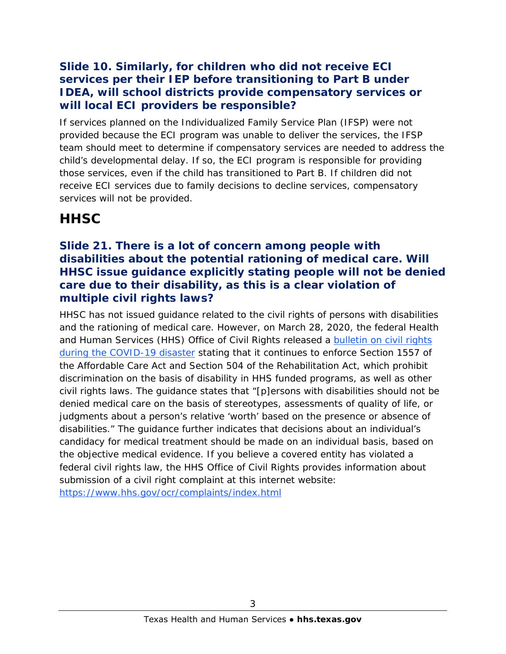#### **Slide 10. Similarly, for children who did not receive ECI services per their IEP before transitioning to Part B under IDEA, will school districts provide compensatory services or will local ECI providers be responsible?**

If services planned on the Individualized Family Service Plan (IFSP) were not provided because the ECI program was unable to deliver the services, the IFSP team should meet to determine if compensatory services are needed to address the child's developmental delay. If so, the ECI program is responsible for providing those services, even if the child has transitioned to Part B. If children did not receive ECI services due to family decisions to decline services, compensatory services will not be provided.

### **HHSC**

#### **Slide 21. There is a lot of concern among people with disabilities about the potential rationing of medical care. Will HHSC issue guidance explicitly stating people will not be denied care due to their disability, as this is a clear violation of multiple civil rights laws?**

HHSC has not issued guidance related to the civil rights of persons with disabilities and the rationing of medical care. However, on March 28, 2020, the federal Health and Human Services (HHS) Office of Civil Rights released a bulletin on civil rights [during the COVID-19 disaster](https://www.hhs.gov/sites/default/files/ocr-bulletin-3-28-20.pdf) stating that it continues to enforce Section 1557 of the Affordable Care Act and Section 504 of the Rehabilitation Act, which prohibit discrimination on the basis of disability in HHS funded programs, as well as other civil rights laws. The guidance states that "[p]ersons with disabilities should not be denied medical care on the basis of stereotypes, assessments of quality of life, or judgments about a person's relative 'worth' based on the presence or absence of disabilities." The guidance further indicates that decisions about an individual's candidacy for medical treatment should be made on an individual basis, based on the objective medical evidence. If you believe a covered entity has violated a federal civil rights law, the HHS Office of Civil Rights provides information about submission of a civil right complaint at this internet website: <https://www.hhs.gov/ocr/complaints/index.html>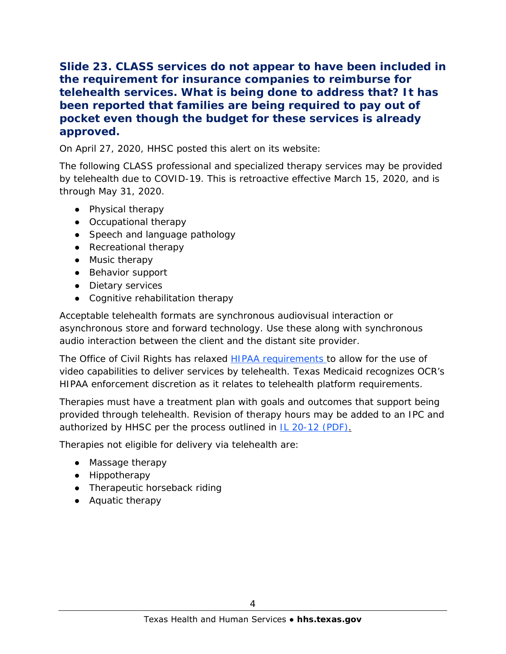#### **Slide 23. CLASS services do not appear to have been included in the requirement for insurance companies to reimburse for telehealth services. What is being done to address that? It has been reported that families are being required to pay out of pocket even though the budget for these services is already approved.**

On April 27, 2020, HHSC posted this [alert](https://hhs.texas.gov/about-hhs/communications-events/news/2020/04/covid-19-update-telehealth-guidance-class-professional-specialized-therapies) on its website:

The following CLASS professional and specialized therapy services may be provided by telehealth due to COVID-19. This is retroactive effective March 15, 2020, and is through May 31, 2020.

- Physical therapy
- Occupational therapy
- Speech and language pathology
- Recreational therapy
- Music therapy
- Behavior support
- Dietary services
- Cognitive rehabilitation therapy

Acceptable telehealth formats are synchronous audiovisual interaction or asynchronous store and forward technology. Use these along with synchronous audio interaction between the client and the distant site provider.

The Office of Civil Rights has relaxed [HIPAA requirements](https://www.hhs.gov/hipaa/for-professionals/special-topics/emergency-preparedness/notification-enforcement-discretion-telehealth/index.html) to allow for the use of video capabilities to deliver services by telehealth. Texas Medicaid recognizes OCR's HIPAA enforcement discretion as it relates to telehealth platform requirements.

Therapies must have a treatment plan with goals and outcomes that support being provided through telehealth. Revision of therapy hours may be added to an IPC and authorized by HHSC per the process outlined in [IL 20-12 \(PDF\).](https://apps.hhs.texas.gov/providers/communications/2020/letters/IL2020-12.pdf)

Therapies not eligible for delivery via telehealth are:

- Massage therapy
- Hippotherapy
- Therapeutic horseback riding
- Aquatic therapy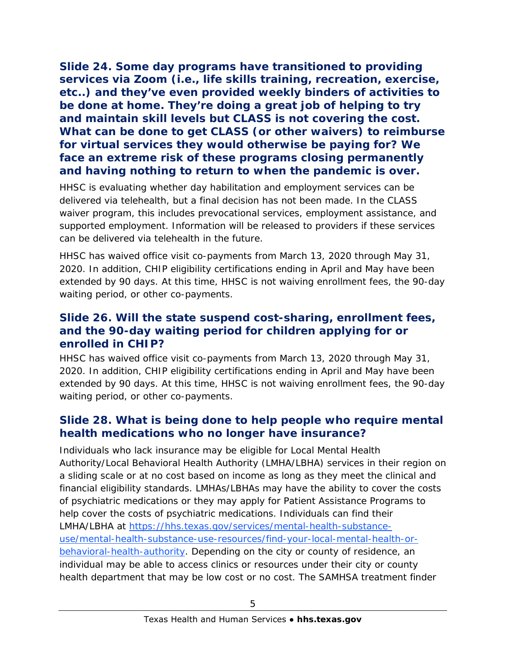**Slide 24. Some day programs have transitioned to providing services via Zoom (i.e., life skills training, recreation, exercise, etc..) and they've even provided weekly binders of activities to be done at home. They're doing a great job of helping to try and maintain skill levels but CLASS is not covering the cost. What can be done to get CLASS (or other waivers) to reimburse for virtual services they would otherwise be paying for? We face an extreme risk of these programs closing permanently and having nothing to return to when the pandemic is over.** 

HHSC is evaluating whether day habilitation and employment services can be delivered via telehealth, but a final decision has not been made. In the CLASS waiver program, this includes prevocational services, employment assistance, and supported employment. Information will be released to providers if these services can be delivered via telehealth in the future.

HHSC has waived office visit co-payments from March 13, 2020 through May 31, 2020. In addition, CHIP eligibility certifications ending in April and May have been extended by 90 days. At this time, HHSC is not waiving enrollment fees, the 90-day waiting period, or other co-payments.

#### **Slide 26. Will the state suspend cost-sharing, enrollment fees, and the 90-day waiting period for children applying for or enrolled in CHIP?**

HHSC has waived office visit co-payments from March 13, 2020 through May 31, 2020. In addition, CHIP eligibility certifications ending in April and May have been extended by 90 days. At this time, HHSC is not waiving enrollment fees, the 90-day waiting period, or other co-payments.

#### **Slide 28. What is being done to help people who require mental health medications who no longer have insurance?**

Individuals who lack insurance may be eligible for Local Mental Health Authority/Local Behavioral Health Authority (LMHA/LBHA) services in their region on a sliding scale or at no cost based on income as long as they meet the clinical and financial eligibility standards. LMHAs/LBHAs may have the ability to cover the costs of psychiatric medications or they may apply for Patient Assistance Programs to help cover the costs of psychiatric medications. Individuals can find their LMHA/LBHA at [https://hhs.texas.gov/services/mental-health-substance](https://hhs.texas.gov/services/mental-health-substance-use/mental-health-substance-use-resources/find-your-local-mental-health-or-behavioral-health-authority)[use/mental-health-substance-use-resources/find-your-local-mental-health-or](https://hhs.texas.gov/services/mental-health-substance-use/mental-health-substance-use-resources/find-your-local-mental-health-or-behavioral-health-authority)[behavioral-health-authority.](https://hhs.texas.gov/services/mental-health-substance-use/mental-health-substance-use-resources/find-your-local-mental-health-or-behavioral-health-authority) Depending on the city or county of residence, an individual may be able to access clinics or resources under their city or county health department that may be low cost or no cost. The SAMHSA treatment finder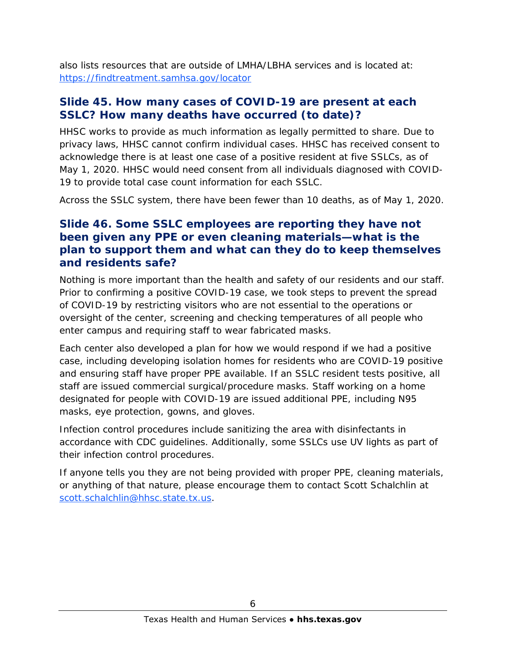also lists resources that are outside of LMHA/LBHA services and is located at: <https://findtreatment.samhsa.gov/locator>

#### **Slide 45. How many cases of COVID-19 are present at each SSLC? How many deaths have occurred (to date)?**

HHSC works to provide as much information as legally permitted to share. Due to privacy laws, HHSC cannot confirm individual cases. HHSC has received consent to acknowledge there is at least one case of a positive resident at five SSLCs, as of May 1, 2020. HHSC would need consent from all individuals diagnosed with COVID-19 to provide total case count information for each SSLC.

Across the SSLC system, there have been fewer than 10 deaths, as of May 1, 2020.

#### **Slide 46. Some SSLC employees are reporting they have not been given any PPE or even cleaning materials—what is the plan to support them and what can they do to keep themselves and residents safe?**

Nothing is more important than the health and safety of our residents and our staff. Prior to confirming a positive COVID-19 case, we took steps to prevent the spread of COVID-19 by restricting visitors who are not essential to the operations or oversight of the center, screening and checking temperatures of all people who enter campus and requiring staff to wear fabricated masks.

Each center also developed a plan for how we would respond if we had a positive case, including developing isolation homes for residents who are COVID-19 positive and ensuring staff have proper PPE available. If an SSLC resident tests positive, all staff are issued commercial surgical/procedure masks. Staff working on a home designated for people with COVID-19 are issued additional PPE, including N95 masks, eye protection, gowns, and gloves.

Infection control procedures include sanitizing the area with disinfectants in accordance with CDC guidelines. Additionally, some SSLCs use UV lights as part of their infection control procedures.

If anyone tells you they are not being provided with proper PPE, cleaning materials, or anything of that nature, please encourage them to contact Scott Schalchlin at [scott.schalchlin@hhsc.state.tx.us.](mailto:scott.schalchlin@hhsc.state.tx.us)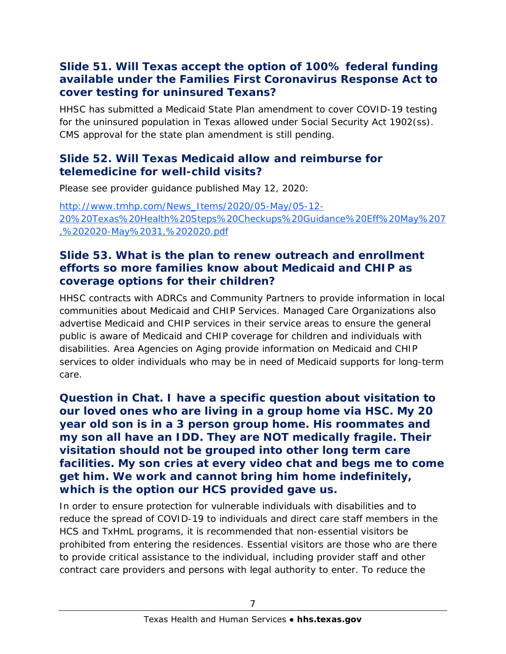#### **Slide 51. Will Texas accept the option of 100% federal funding available under the Families First Coronavirus Response Act to cover testing for uninsured Texans?**

HHSC has submitted a Medicaid State Plan amendment to cover COVID-19 testing for the uninsured population in Texas allowed under Social Security Act 1902(ss). CMS approval for the state plan amendment is still pending.

#### **Slide 52. Will Texas Medicaid allow and reimburse for telemedicine for well-child visits?**

Please see provider guidance published May 12, 2020:

[http://www.tmhp.com/News\\_Items/2020/05-May/05-12-](http://www.tmhp.com/News_Items/2020/05-May/05-12-20%20Texas%20Health%20Steps%20Checkups%20Guidance%20Eff%20May%207,%202020-May%2031,%202020.pdf) [20%20Texas%20Health%20Steps%20Checkups%20Guidance%20Eff%20May%207](http://www.tmhp.com/News_Items/2020/05-May/05-12-20%20Texas%20Health%20Steps%20Checkups%20Guidance%20Eff%20May%207,%202020-May%2031,%202020.pdf) [,%202020-May%2031,%202020.pdf](http://www.tmhp.com/News_Items/2020/05-May/05-12-20%20Texas%20Health%20Steps%20Checkups%20Guidance%20Eff%20May%207,%202020-May%2031,%202020.pdf)

#### **Slide 53. What is the plan to renew outreach and enrollment efforts so more families know about Medicaid and CHIP as coverage options for their children?**

HHSC contracts with ADRCs and Community Partners to provide information in local communities about Medicaid and CHIP Services. Managed Care Organizations also advertise Medicaid and CHIP services in their service areas to ensure the general public is aware of Medicaid and CHIP coverage for children and individuals with disabilities. Area Agencies on Aging provide information on Medicaid and CHIP services to older individuals who may be in need of Medicaid supports for long-term care.

**Question in Chat. I have a specific question about visitation to our loved ones who are living in a group home via HSC. My 20 year old son is in a 3 person group home. His roommates and my son all have an IDD. They are NOT medically fragile. Their visitation should not be grouped into other long term care facilities. My son cries at every video chat and begs me to come get him. We work and cannot bring him home indefinitely, which is the option our HCS provided gave us.**

In order to ensure protection for vulnerable individuals with disabilities and to reduce the spread of COVID-19 to individuals and direct care staff members in the HCS and TxHmL programs, it is recommended that non-essential visitors be prohibited from entering the residences. Essential visitors are those who are there to provide critical assistance to the individual, including provider staff and other contract care providers and persons with legal authority to enter. To reduce the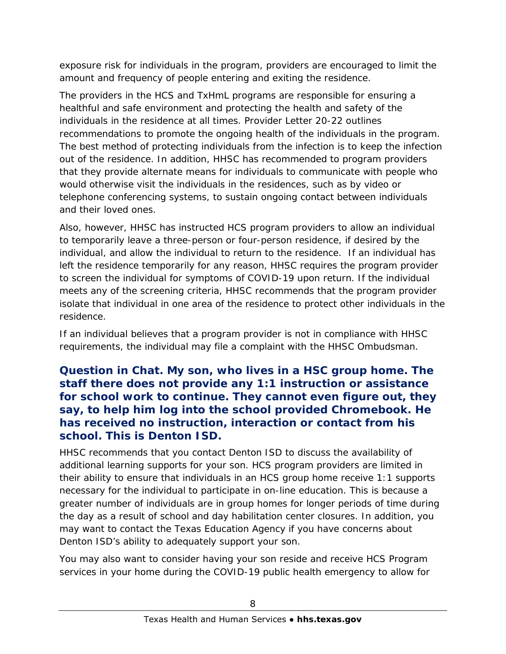exposure risk for individuals in the program, providers are encouraged to limit the amount and frequency of people entering and exiting the residence.

The providers in the HCS and TxHmL programs are responsible for ensuring a healthful and safe environment and protecting the health and safety of the individuals in the residence at all times. Provider Letter 20-22 outlines recommendations to promote the ongoing health of the individuals in the program. The best method of protecting individuals from the infection is to keep the infection out of the residence. In addition, HHSC has recommended to program providers that they provide alternate means for individuals to communicate with people who would otherwise visit the individuals in the residences, such as by video or telephone conferencing systems, to sustain ongoing contact between individuals and their loved ones.

Also, however, HHSC has instructed HCS program providers to allow an individual to temporarily leave a three-person or four-person residence, if desired by the individual, and allow the individual to return to the residence. If an individual has left the residence temporarily for any reason, HHSC requires the program provider to screen the individual for symptoms of COVID-19 upon return. If the individual meets any of the screening criteria, HHSC recommends that the program provider isolate that individual in one area of the residence to protect other individuals in the residence.

If an individual believes that a program provider is not in compliance with HHSC requirements, the individual may file a complaint with the HHSC Ombudsman.

#### **Question in Chat. My son, who lives in a HSC group home. The staff there does not provide any 1:1 instruction or assistance for school work to continue. They cannot even figure out, they say, to help him log into the school provided Chromebook. He has received no instruction, interaction or contact from his school. This is Denton ISD.**

HHSC recommends that you contact Denton ISD to discuss the availability of additional learning supports for your son. HCS program providers are limited in their ability to ensure that individuals in an HCS group home receive 1:1 supports necessary for the individual to participate in on-line education. This is because a greater number of individuals are in group homes for longer periods of time during the day as a result of school and day habilitation center closures. In addition, you may want to contact the Texas Education Agency if you have concerns about Denton ISD's ability to adequately support your son.

You may also want to consider having your son reside and receive HCS Program services in your home during the COVID-19 public health emergency to allow for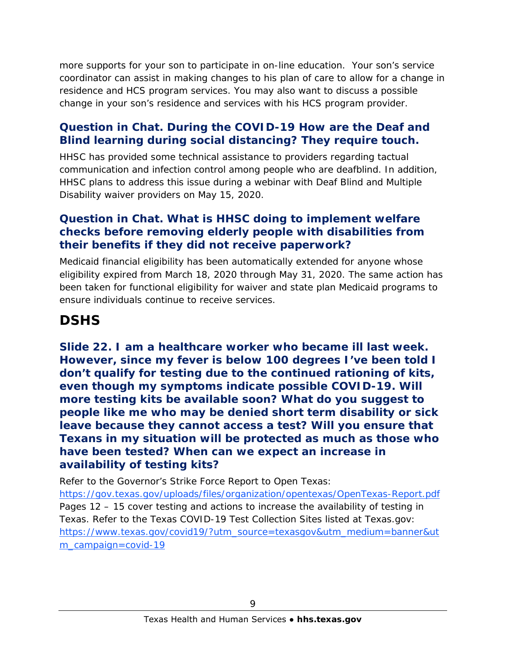more supports for your son to participate in on-line education. Your son's service coordinator can assist in making changes to his plan of care to allow for a change in residence and HCS program services. You may also want to discuss a possible change in your son's residence and services with his HCS program provider.

#### **Question in Chat. During the COVID-19 How are the Deaf and Blind learning during social distancing? They require touch.**

HHSC has provided some technical assistance to providers regarding tactual communication and infection control among people who are deafblind. In addition, HHSC plans to address this issue during a webinar with Deaf Blind and Multiple Disability waiver providers on May 15, 2020.

#### **Question in Chat. What is HHSC doing to implement welfare checks before removing elderly people with disabilities from their benefits if they did not receive paperwork?**

Medicaid financial eligibility has been automatically extended for anyone whose eligibility expired from March 18, 2020 through May 31, 2020. The same action has been taken for functional eligibility for waiver and state plan Medicaid programs to ensure individuals continue to receive services.

### **DSHS**

**Slide 22. I am a healthcare worker who became ill last week. However, since my fever is below 100 degrees I've been told I don't qualify for testing due to the continued rationing of kits, even though my symptoms indicate possible COVID-19. Will more testing kits be available soon? What do you suggest to people like me who may be denied short term disability or sick leave because they cannot access a test? Will you ensure that Texans in my situation will be protected as much as those who have been tested? When can we expect an increase in availability of testing kits?** 

Refer to the Governor's Strike Force Report to Open Texas: <https://gov.texas.gov/uploads/files/organization/opentexas/OpenTexas-Report.pdf> Pages 12 – 15 cover testing and actions to increase the availability of testing in Texas. Refer to the Texas COVID-19 Test Collection Sites listed at Texas.gov: [https://www.texas.gov/covid19/?utm\\_source=texasgov&utm\\_medium=banner&ut](https://www.texas.gov/covid19/?utm_source=texasgov&utm_medium=banner&utm_campaign=covid-19) [m\\_campaign=covid-19](https://www.texas.gov/covid19/?utm_source=texasgov&utm_medium=banner&utm_campaign=covid-19)